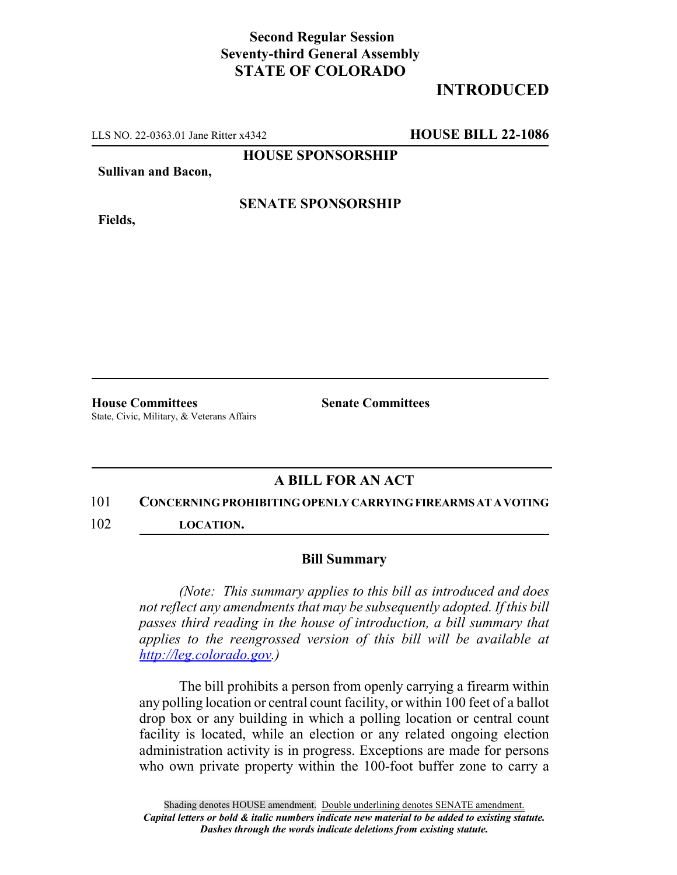## **Second Regular Session Seventy-third General Assembly STATE OF COLORADO**

# **INTRODUCED**

LLS NO. 22-0363.01 Jane Ritter x4342 **HOUSE BILL 22-1086**

**HOUSE SPONSORSHIP**

**Sullivan and Bacon,**

**Fields,**

**SENATE SPONSORSHIP**

**House Committees Senate Committees** State, Civic, Military, & Veterans Affairs

## **A BILL FOR AN ACT**

### 101 **CONCERNING PROHIBITING OPENLY CARRYING FIREARMS AT A VOTING**

102 **LOCATION.**

### **Bill Summary**

*(Note: This summary applies to this bill as introduced and does not reflect any amendments that may be subsequently adopted. If this bill passes third reading in the house of introduction, a bill summary that applies to the reengrossed version of this bill will be available at http://leg.colorado.gov.)*

The bill prohibits a person from openly carrying a firearm within any polling location or central count facility, or within 100 feet of a ballot drop box or any building in which a polling location or central count facility is located, while an election or any related ongoing election administration activity is in progress. Exceptions are made for persons who own private property within the 100-foot buffer zone to carry a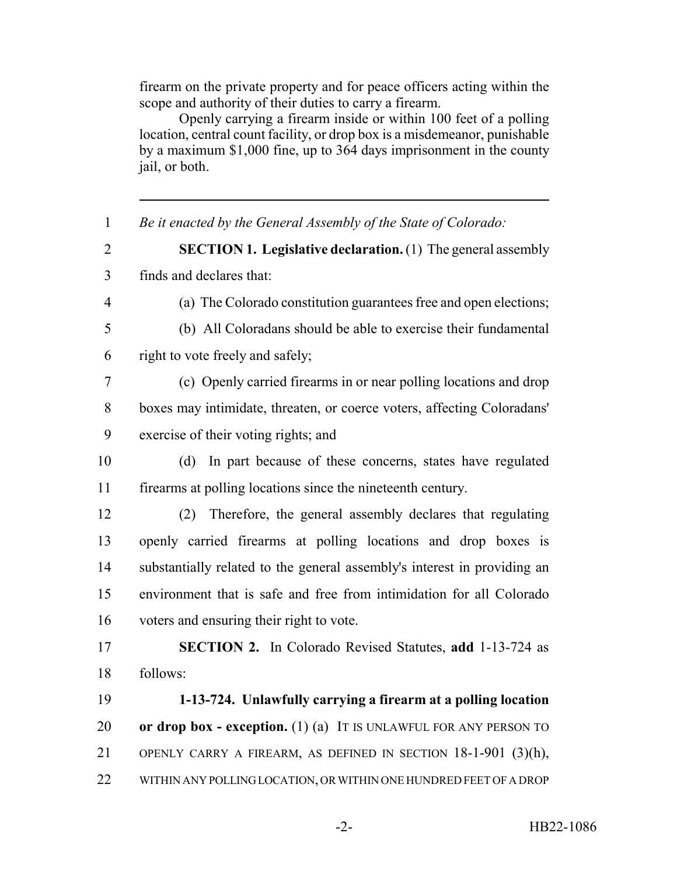firearm on the private property and for peace officers acting within the scope and authority of their duties to carry a firearm.

Openly carrying a firearm inside or within 100 feet of a polling location, central count facility, or drop box is a misdemeanor, punishable by a maximum \$1,000 fine, up to 364 days imprisonment in the county jail, or both.

 *Be it enacted by the General Assembly of the State of Colorado:* **SECTION 1. Legislative declaration.** (1) The general assembly finds and declares that: (a) The Colorado constitution guarantees free and open elections; (b) All Coloradans should be able to exercise their fundamental right to vote freely and safely; (c) Openly carried firearms in or near polling locations and drop boxes may intimidate, threaten, or coerce voters, affecting Coloradans' exercise of their voting rights; and (d) In part because of these concerns, states have regulated firearms at polling locations since the nineteenth century. (2) Therefore, the general assembly declares that regulating openly carried firearms at polling locations and drop boxes is substantially related to the general assembly's interest in providing an environment that is safe and free from intimidation for all Colorado voters and ensuring their right to vote. **SECTION 2.** In Colorado Revised Statutes, **add** 1-13-724 as follows: **1-13-724. Unlawfully carrying a firearm at a polling location or drop box - exception.** (1) (a) IT IS UNLAWFUL FOR ANY PERSON TO OPENLY CARRY A FIREARM, AS DEFINED IN SECTION 18-1-901 (3)(h), WITHIN ANY POLLING LOCATION, OR WITHIN ONE HUNDRED FEET OF A DROP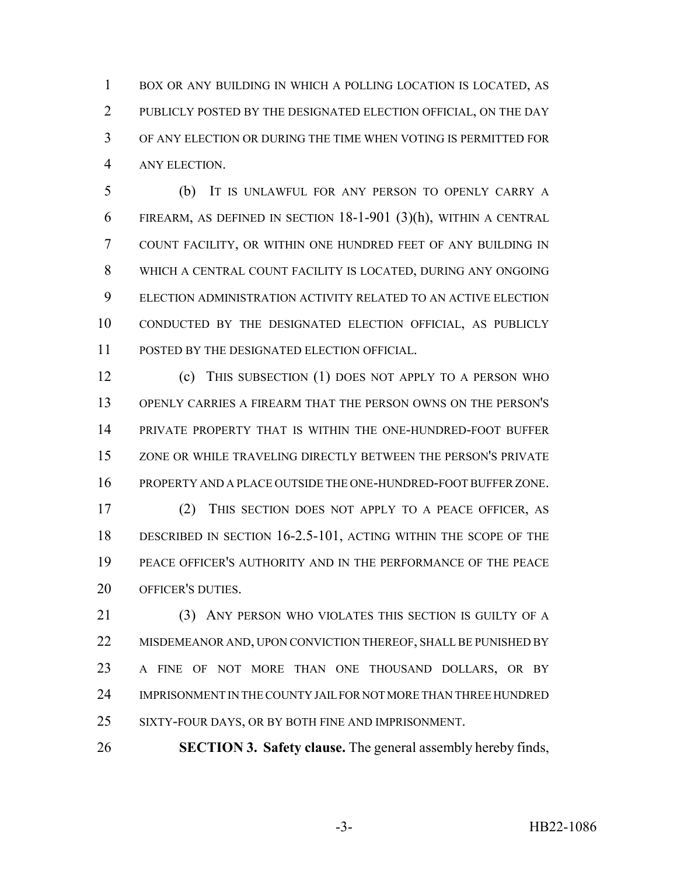BOX OR ANY BUILDING IN WHICH A POLLING LOCATION IS LOCATED, AS PUBLICLY POSTED BY THE DESIGNATED ELECTION OFFICIAL, ON THE DAY OF ANY ELECTION OR DURING THE TIME WHEN VOTING IS PERMITTED FOR ANY ELECTION.

 (b) IT IS UNLAWFUL FOR ANY PERSON TO OPENLY CARRY A FIREARM, AS DEFINED IN SECTION 18-1-901 (3)(h), WITHIN A CENTRAL COUNT FACILITY, OR WITHIN ONE HUNDRED FEET OF ANY BUILDING IN WHICH A CENTRAL COUNT FACILITY IS LOCATED, DURING ANY ONGOING ELECTION ADMINISTRATION ACTIVITY RELATED TO AN ACTIVE ELECTION CONDUCTED BY THE DESIGNATED ELECTION OFFICIAL, AS PUBLICLY POSTED BY THE DESIGNATED ELECTION OFFICIAL.

 (c) THIS SUBSECTION (1) DOES NOT APPLY TO A PERSON WHO OPENLY CARRIES A FIREARM THAT THE PERSON OWNS ON THE PERSON'S PRIVATE PROPERTY THAT IS WITHIN THE ONE-HUNDRED-FOOT BUFFER ZONE OR WHILE TRAVELING DIRECTLY BETWEEN THE PERSON'S PRIVATE PROPERTY AND A PLACE OUTSIDE THE ONE-HUNDRED-FOOT BUFFER ZONE.

 (2) THIS SECTION DOES NOT APPLY TO A PEACE OFFICER, AS DESCRIBED IN SECTION 16-2.5-101, ACTING WITHIN THE SCOPE OF THE PEACE OFFICER'S AUTHORITY AND IN THE PERFORMANCE OF THE PEACE OFFICER'S DUTIES.

21 (3) ANY PERSON WHO VIOLATES THIS SECTION IS GUILTY OF A 22 MISDEMEANOR AND, UPON CONVICTION THEREOF, SHALL BE PUNISHED BY A FINE OF NOT MORE THAN ONE THOUSAND DOLLARS, OR BY IMPRISONMENT IN THE COUNTY JAIL FOR NOT MORE THAN THREE HUNDRED SIXTY-FOUR DAYS, OR BY BOTH FINE AND IMPRISONMENT.

**SECTION 3. Safety clause.** The general assembly hereby finds,